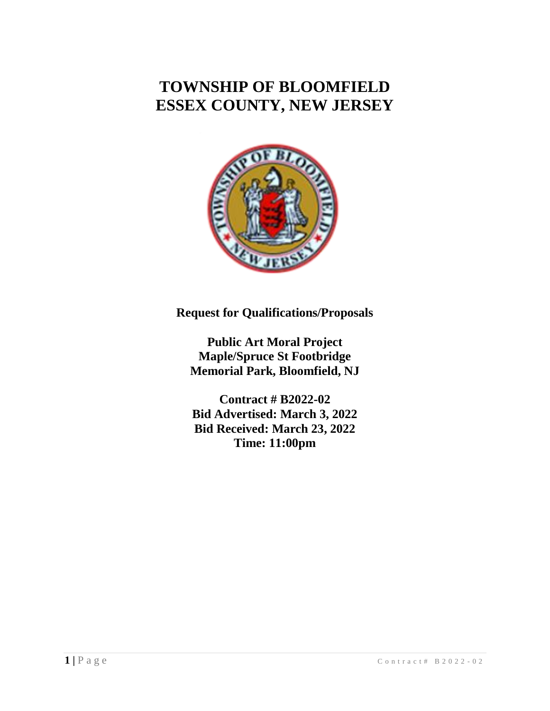# **TOWNSHIP OF BLOOMFIELD ESSEX COUNTY, NEW JERSEY**



**Request for Qualifications/Proposals**

**Public Art Moral Project Maple/Spruce St Footbridge Memorial Park, Bloomfield, NJ**

**Contract # B2022-02 Bid Advertised: March 3, 2022 Bid Received: March 23, 2022 Time: 11:00pm**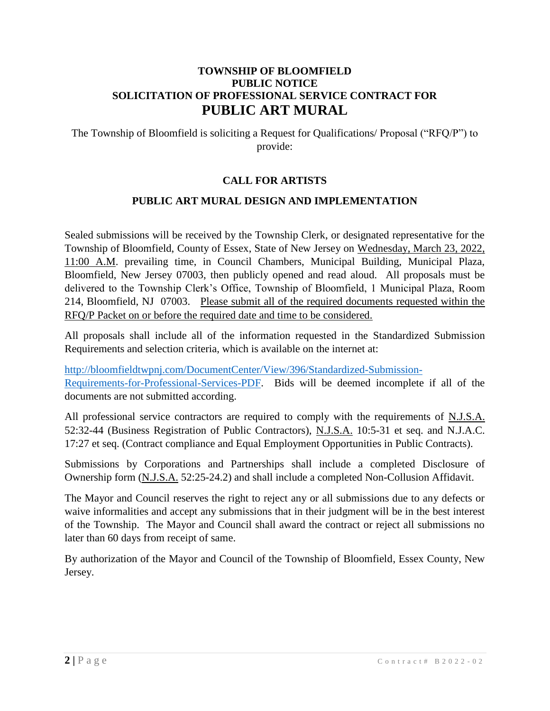# **TOWNSHIP OF BLOOMFIELD PUBLIC NOTICE SOLICITATION OF PROFESSIONAL SERVICE CONTRACT FOR PUBLIC ART MURAL**

The Township of Bloomfield is soliciting a Request for Qualifications/ Proposal ("RFQ/P") to provide:

# **CALL FOR ARTISTS**

## **PUBLIC ART MURAL DESIGN AND IMPLEMENTATION**

Sealed submissions will be received by the Township Clerk, or designated representative for the Township of Bloomfield, County of Essex, State of New Jersey on Wednesday, March 23, 2022, 11:00 A.M. prevailing time, in Council Chambers, Municipal Building, Municipal Plaza, Bloomfield, New Jersey 07003, then publicly opened and read aloud. All proposals must be delivered to the Township Clerk's Office, Township of Bloomfield, 1 Municipal Plaza, Room 214, Bloomfield, NJ 07003. Please submit all of the required documents requested within the RFQ/P Packet on or before the required date and time to be considered.

All proposals shall include all of the information requested in the Standardized Submission Requirements and selection criteria, which is available on the internet at:

[http://bloomfieldtwpnj.com/DocumentCenter/View/396/Standardized-Submission-](http://bloomfieldtwpnj.com/DocumentCenter/View/396/Standardized-Submission-Requirements-for-Professional-Services-PDF)[Requirements-for-Professional-Services-PDF.](http://bloomfieldtwpnj.com/DocumentCenter/View/396/Standardized-Submission-Requirements-for-Professional-Services-PDF) Bids will be deemed incomplete if all of the documents are not submitted according.

All professional service contractors are required to comply with the requirements of N.J.S.A. 52:32-44 (Business Registration of Public Contractors), N.J.S.A. 10:5-31 et seq. and N.J.A.C. 17:27 et seq. (Contract compliance and Equal Employment Opportunities in Public Contracts).

Submissions by Corporations and Partnerships shall include a completed Disclosure of Ownership form (N.J.S.A. 52:25-24.2) and shall include a completed Non-Collusion Affidavit.

The Mayor and Council reserves the right to reject any or all submissions due to any defects or waive informalities and accept any submissions that in their judgment will be in the best interest of the Township. The Mayor and Council shall award the contract or reject all submissions no later than 60 days from receipt of same.

By authorization of the Mayor and Council of the Township of Bloomfield, Essex County, New Jersey.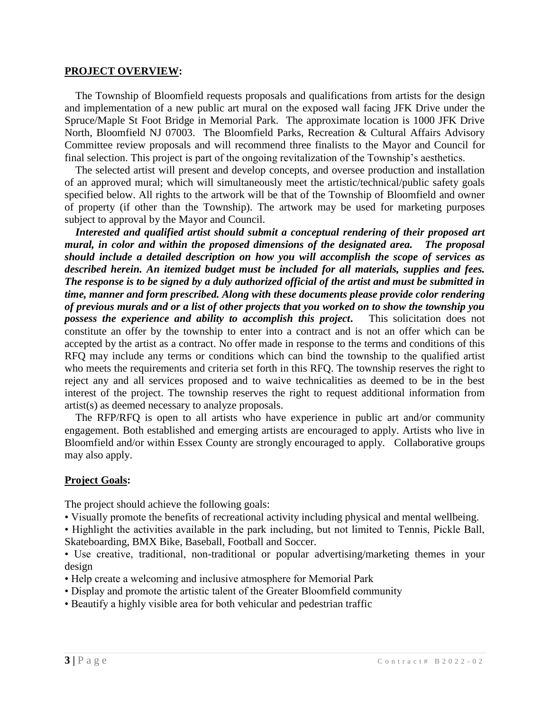#### **PROJECT OVERVIEW:**

 The Township of Bloomfield requests proposals and qualifications from artists for the design and implementation of a new public art mural on the exposed wall facing JFK Drive under the Spruce/Maple St Foot Bridge in Memorial Park. The approximate location is 1000 JFK Drive North, Bloomfield NJ 07003. The Bloomfield Parks, Recreation & Cultural Affairs Advisory Committee review proposals and will recommend three finalists to the Mayor and Council for final selection. This project is part of the ongoing revitalization of the Township's aesthetics.

 The selected artist will present and develop concepts, and oversee production and installation of an approved mural; which will simultaneously meet the artistic/technical/public safety goals specified below. All rights to the artwork will be that of the Township of Bloomfield and owner of property (if other than the Township). The artwork may be used for marketing purposes subject to approval by the Mayor and Council.

 *Interested and qualified artist should submit a conceptual rendering of their proposed art mural, in color and within the proposed dimensions of the designated area. The proposal should include a detailed description on how you will accomplish the scope of services as described herein. An itemized budget must be included for all materials, supplies and fees. The response is to be signed by a duly authorized official of the artist and must be submitted in time, manner and form prescribed. Along with these documents please provide color rendering of previous murals and or a list of other projects that you worked on to show the township you possess the experience and ability to accomplish this project***.** This solicitation does not constitute an offer by the township to enter into a contract and is not an offer which can be accepted by the artist as a contract. No offer made in response to the terms and conditions of this RFQ may include any terms or conditions which can bind the township to the qualified artist who meets the requirements and criteria set forth in this RFQ. The township reserves the right to reject any and all services proposed and to waive technicalities as deemed to be in the best interest of the project. The township reserves the right to request additional information from artist(s) as deemed necessary to analyze proposals.

 The RFP/RFQ is open to all artists who have experience in public art and/or community engagement. Both established and emerging artists are encouraged to apply. Artists who live in Bloomfield and/or within Essex County are strongly encouraged to apply. Collaborative groups may also apply.

#### **Project Goals:**

The project should achieve the following goals:

• Visually promote the benefits of recreational activity including physical and mental wellbeing.

• Highlight the activities available in the park including, but not limited to Tennis, Pickle Ball, Skateboarding, BMX Bike, Baseball, Football and Soccer.

• Use creative, traditional, non-traditional or popular advertising/marketing themes in your design

- Help create a welcoming and inclusive atmosphere for Memorial Park
- Display and promote the artistic talent of the Greater Bloomfield community
- Beautify a highly visible area for both vehicular and pedestrian traffic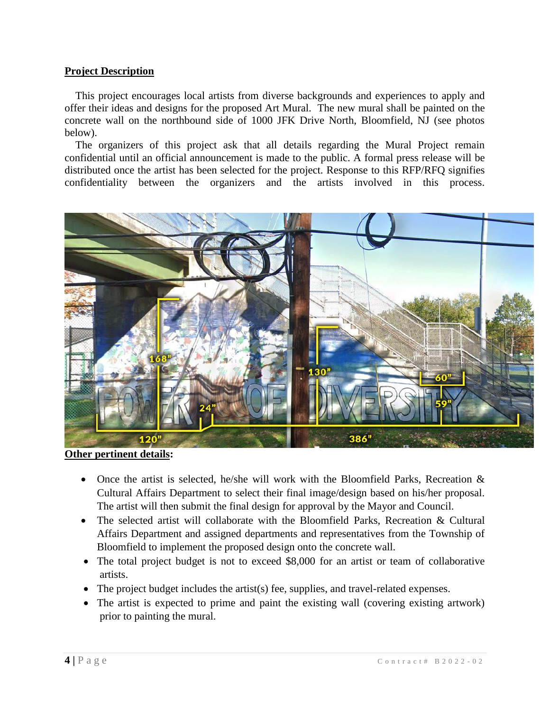## **Project Description**

 This project encourages local artists from diverse backgrounds and experiences to apply and offer their ideas and designs for the proposed Art Mural. The new mural shall be painted on the concrete wall on the northbound side of 1000 JFK Drive North, Bloomfield, NJ (see photos below).

 The organizers of this project ask that all details regarding the Mural Project remain confidential until an official announcement is made to the public. A formal press release will be distributed once the artist has been selected for the project. Response to this RFP/RFQ signifies confidentiality between the organizers and the artists involved in this process.



**Other pertinent details:**

- Once the artist is selected, he/she will work with the Bloomfield Parks, Recreation  $\&$ Cultural Affairs Department to select their final image/design based on his/her proposal. The artist will then submit the final design for approval by the Mayor and Council.
- The selected artist will collaborate with the Bloomfield Parks, Recreation & Cultural Affairs Department and assigned departments and representatives from the Township of Bloomfield to implement the proposed design onto the concrete wall.
- The total project budget is not to exceed \$8,000 for an artist or team of collaborative artists.
- The project budget includes the artist(s) fee, supplies, and travel-related expenses.
- The artist is expected to prime and paint the existing wall (covering existing artwork) prior to painting the mural.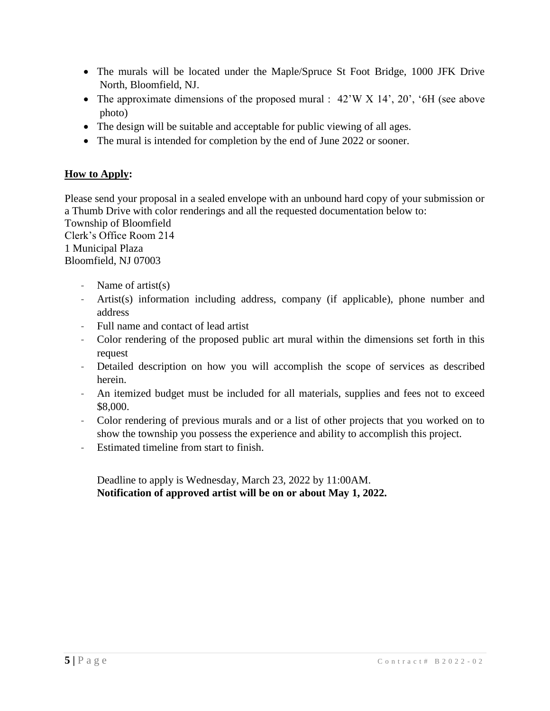- The murals will be located under the Maple/Spruce St Foot Bridge, 1000 JFK Drive North, Bloomfield, NJ.
- The approximate dimensions of the proposed mural : 42'W X 14', 20', '6H (see above photo)
- The design will be suitable and acceptable for public viewing of all ages.
- The mural is intended for completion by the end of June 2022 or sooner.

# **How to Apply:**

Please send your proposal in a sealed envelope with an unbound hard copy of your submission or a Thumb Drive with color renderings and all the requested documentation below to: Township of Bloomfield Clerk's Office Room 214 1 Municipal Plaza Bloomfield, NJ 07003

- Name of artist(s)
- Artist(s) information including address, company (if applicable), phone number and address
- Full name and contact of lead artist
- Color rendering of the proposed public art mural within the dimensions set forth in this request
- Detailed description on how you will accomplish the scope of services as described herein.
- An itemized budget must be included for all materials, supplies and fees not to exceed \$8,000.
- Color rendering of previous murals and or a list of other projects that you worked on to show the township you possess the experience and ability to accomplish this project.
- Estimated timeline from start to finish.

Deadline to apply is Wednesday, March 23, 2022 by 11:00AM. **Notification of approved artist will be on or about May 1, 2022.**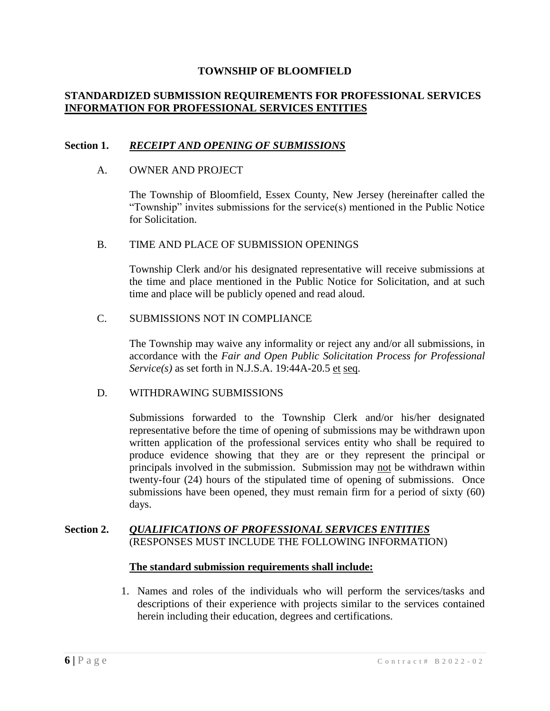## **STANDARDIZED SUBMISSION REQUIREMENTS FOR PROFESSIONAL SERVICES INFORMATION FOR PROFESSIONAL SERVICES ENTITIES**

#### **Section 1.** *RECEIPT AND OPENING OF SUBMISSIONS*

#### A. OWNER AND PROJECT

The Township of Bloomfield, Essex County, New Jersey (hereinafter called the "Township" invites submissions for the service(s) mentioned in the Public Notice for Solicitation.

#### B. TIME AND PLACE OF SUBMISSION OPENINGS

Township Clerk and/or his designated representative will receive submissions at the time and place mentioned in the Public Notice for Solicitation, and at such time and place will be publicly opened and read aloud.

#### C. SUBMISSIONS NOT IN COMPLIANCE

The Township may waive any informality or reject any and/or all submissions, in accordance with the *Fair and Open Public Solicitation Process for Professional Service(s)* as set forth in N.J.S.A. 19:44A-20.5 et seq.

#### D. WITHDRAWING SUBMISSIONS

Submissions forwarded to the Township Clerk and/or his/her designated representative before the time of opening of submissions may be withdrawn upon written application of the professional services entity who shall be required to produce evidence showing that they are or they represent the principal or principals involved in the submission. Submission may not be withdrawn within twenty-four (24) hours of the stipulated time of opening of submissions. Once submissions have been opened, they must remain firm for a period of sixty (60) days.

#### **Section 2.** *QUALIFICATIONS OF PROFESSIONAL SERVICES ENTITIES* (RESPONSES MUST INCLUDE THE FOLLOWING INFORMATION)

#### **The standard submission requirements shall include:**

1. Names and roles of the individuals who will perform the services/tasks and descriptions of their experience with projects similar to the services contained herein including their education, degrees and certifications.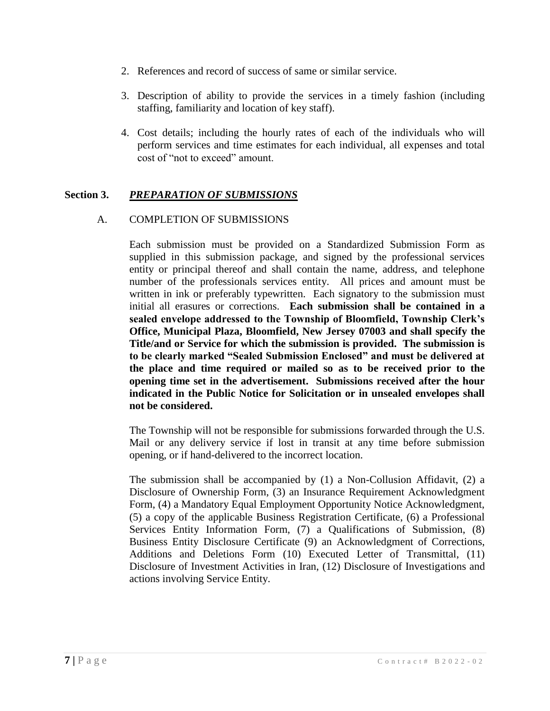- 2. References and record of success of same or similar service.
- 3. Description of ability to provide the services in a timely fashion (including staffing, familiarity and location of key staff).
- 4. Cost details; including the hourly rates of each of the individuals who will perform services and time estimates for each individual, all expenses and total cost of "not to exceed" amount.

# **Section 3.** *PREPARATION OF SUBMISSIONS*

## A. COMPLETION OF SUBMISSIONS

Each submission must be provided on a Standardized Submission Form as supplied in this submission package, and signed by the professional services entity or principal thereof and shall contain the name, address, and telephone number of the professionals services entity. All prices and amount must be written in ink or preferably typewritten. Each signatory to the submission must initial all erasures or corrections. **Each submission shall be contained in a sealed envelope addressed to the Township of Bloomfield, Township Clerk's Office, Municipal Plaza, Bloomfield, New Jersey 07003 and shall specify the Title/and or Service for which the submission is provided. The submission is to be clearly marked "Sealed Submission Enclosed" and must be delivered at the place and time required or mailed so as to be received prior to the opening time set in the advertisement. Submissions received after the hour indicated in the Public Notice for Solicitation or in unsealed envelopes shall not be considered.**

The Township will not be responsible for submissions forwarded through the U.S. Mail or any delivery service if lost in transit at any time before submission opening, or if hand-delivered to the incorrect location.

The submission shall be accompanied by (1) a Non-Collusion Affidavit, (2) a Disclosure of Ownership Form, (3) an Insurance Requirement Acknowledgment Form, (4) a Mandatory Equal Employment Opportunity Notice Acknowledgment, (5) a copy of the applicable Business Registration Certificate, (6) a Professional Services Entity Information Form, (7) a Qualifications of Submission, (8) Business Entity Disclosure Certificate (9) an Acknowledgment of Corrections, Additions and Deletions Form (10) Executed Letter of Transmittal, (11) Disclosure of Investment Activities in Iran, (12) Disclosure of Investigations and actions involving Service Entity.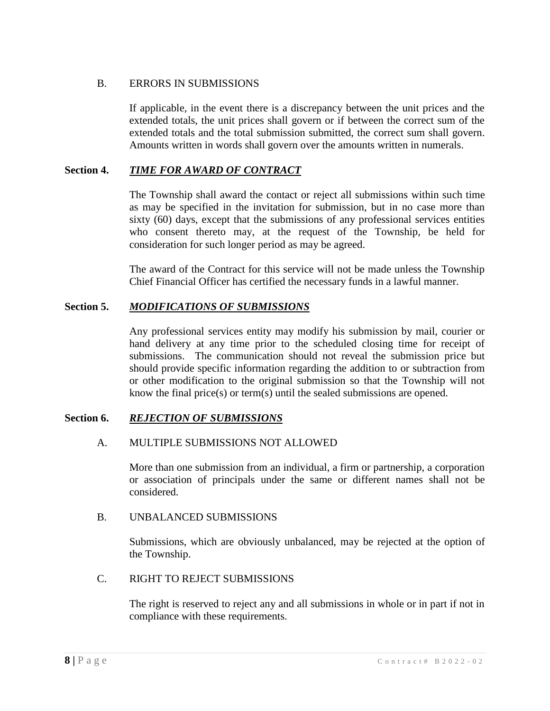## B. ERRORS IN SUBMISSIONS

If applicable, in the event there is a discrepancy between the unit prices and the extended totals, the unit prices shall govern or if between the correct sum of the extended totals and the total submission submitted, the correct sum shall govern. Amounts written in words shall govern over the amounts written in numerals.

# **Section 4.** *TIME FOR AWARD OF CONTRACT*

The Township shall award the contact or reject all submissions within such time as may be specified in the invitation for submission, but in no case more than sixty (60) days, except that the submissions of any professional services entities who consent thereto may, at the request of the Township, be held for consideration for such longer period as may be agreed.

The award of the Contract for this service will not be made unless the Township Chief Financial Officer has certified the necessary funds in a lawful manner.

# **Section 5.** *MODIFICATIONS OF SUBMISSIONS*

Any professional services entity may modify his submission by mail, courier or hand delivery at any time prior to the scheduled closing time for receipt of submissions. The communication should not reveal the submission price but should provide specific information regarding the addition to or subtraction from or other modification to the original submission so that the Township will not know the final price(s) or term(s) until the sealed submissions are opened.

## **Section 6.** *REJECTION OF SUBMISSIONS*

## A. MULTIPLE SUBMISSIONS NOT ALLOWED

More than one submission from an individual, a firm or partnership, a corporation or association of principals under the same or different names shall not be considered.

## B. UNBALANCED SUBMISSIONS

Submissions, which are obviously unbalanced, may be rejected at the option of the Township.

## C. RIGHT TO REJECT SUBMISSIONS

The right is reserved to reject any and all submissions in whole or in part if not in compliance with these requirements.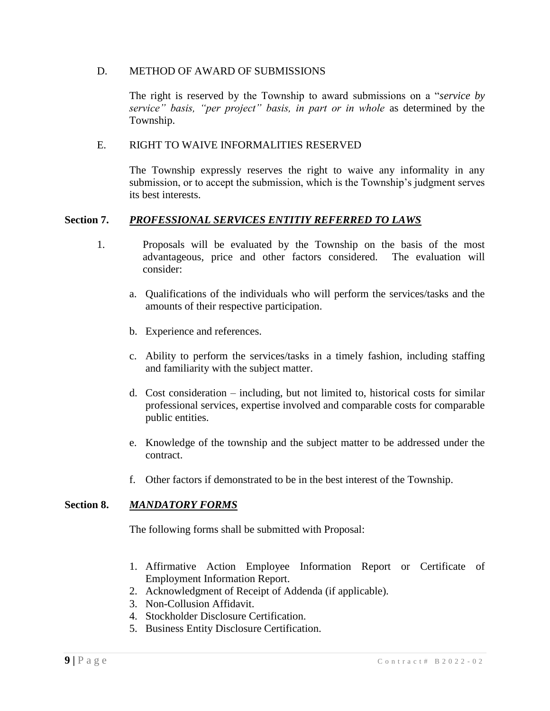#### D. METHOD OF AWARD OF SUBMISSIONS

The right is reserved by the Township to award submissions on a "*service by service" basis, "per project" basis, in part or in whole* as determined by the Township.

#### E. RIGHT TO WAIVE INFORMALITIES RESERVED

The Township expressly reserves the right to waive any informality in any submission, or to accept the submission, which is the Township's judgment serves its best interests.

#### **Section 7.** *PROFESSIONAL SERVICES ENTITIY REFERRED TO LAWS*

- 1. Proposals will be evaluated by the Township on the basis of the most advantageous, price and other factors considered. The evaluation will consider:
	- a. Qualifications of the individuals who will perform the services/tasks and the amounts of their respective participation.
	- b. Experience and references.
	- c. Ability to perform the services/tasks in a timely fashion, including staffing and familiarity with the subject matter.
	- d. Cost consideration including, but not limited to, historical costs for similar professional services, expertise involved and comparable costs for comparable public entities.
	- e. Knowledge of the township and the subject matter to be addressed under the contract.
	- f. Other factors if demonstrated to be in the best interest of the Township.

#### **Section 8.** *MANDATORY FORMS*

The following forms shall be submitted with Proposal:

- 1. Affirmative Action Employee Information Report or Certificate of Employment Information Report.
- 2. Acknowledgment of Receipt of Addenda (if applicable).
- 3. Non-Collusion Affidavit.
- 4. Stockholder Disclosure Certification.
- 5. Business Entity Disclosure Certification.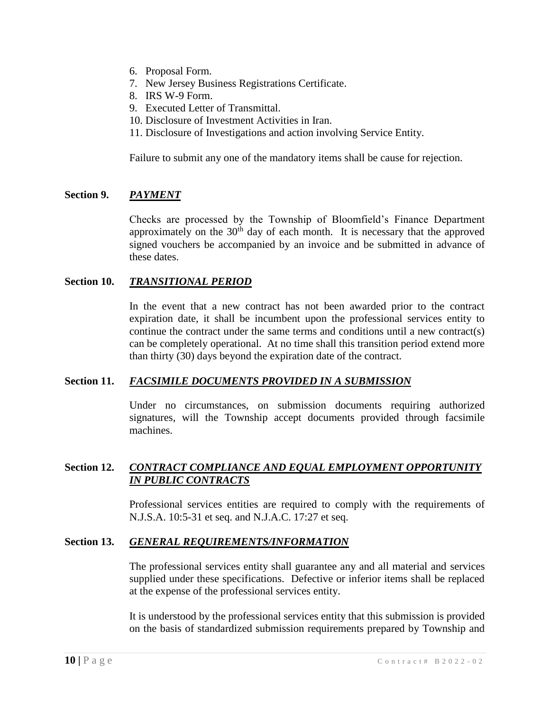- 6. Proposal Form.
- 7. New Jersey Business Registrations Certificate.
- 8. IRS W-9 Form.
- 9. Executed Letter of Transmittal.
- 10. Disclosure of Investment Activities in Iran.
- 11. Disclosure of Investigations and action involving Service Entity.

Failure to submit any one of the mandatory items shall be cause for rejection.

#### **Section 9.** *PAYMENT*

Checks are processed by the Township of Bloomfield's Finance Department approximately on the  $30<sup>th</sup>$  day of each month. It is necessary that the approved signed vouchers be accompanied by an invoice and be submitted in advance of these dates.

#### **Section 10.** *TRANSITIONAL PERIOD*

In the event that a new contract has not been awarded prior to the contract expiration date, it shall be incumbent upon the professional services entity to continue the contract under the same terms and conditions until a new contract(s) can be completely operational. At no time shall this transition period extend more than thirty (30) days beyond the expiration date of the contract.

#### **Section 11.** *FACSIMILE DOCUMENTS PROVIDED IN A SUBMISSION*

Under no circumstances, on submission documents requiring authorized signatures, will the Township accept documents provided through facsimile machines.

## **Section 12.** *CONTRACT COMPLIANCE AND EQUAL EMPLOYMENT OPPORTUNITY IN PUBLIC CONTRACTS*

Professional services entities are required to comply with the requirements of N.J.S.A. 10:5-31 et seq. and N.J.A.C. 17:27 et seq.

#### **Section 13.** *GENERAL REQUIREMENTS/INFORMATION*

The professional services entity shall guarantee any and all material and services supplied under these specifications. Defective or inferior items shall be replaced at the expense of the professional services entity.

It is understood by the professional services entity that this submission is provided on the basis of standardized submission requirements prepared by Township and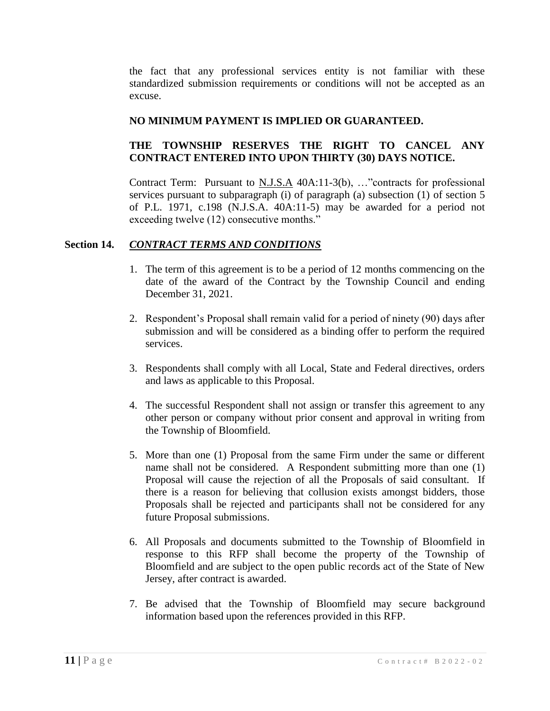the fact that any professional services entity is not familiar with these standardized submission requirements or conditions will not be accepted as an excuse.

## **NO MINIMUM PAYMENT IS IMPLIED OR GUARANTEED.**

# **THE TOWNSHIP RESERVES THE RIGHT TO CANCEL ANY CONTRACT ENTERED INTO UPON THIRTY (30) DAYS NOTICE.**

Contract Term: Pursuant to N.J.S.A 40A:11-3(b), …"contracts for professional services pursuant to subparagraph (i) of paragraph (a) subsection (1) of section 5 of P.L. 1971, c.198 (N.J.S.A. 40A:11-5) may be awarded for a period not exceeding twelve (12) consecutive months."

## **Section 14.** *CONTRACT TERMS AND CONDITIONS*

- 1. The term of this agreement is to be a period of 12 months commencing on the date of the award of the Contract by the Township Council and ending December 31, 2021.
- 2. Respondent's Proposal shall remain valid for a period of ninety (90) days after submission and will be considered as a binding offer to perform the required services.
- 3. Respondents shall comply with all Local, State and Federal directives, orders and laws as applicable to this Proposal.
- 4. The successful Respondent shall not assign or transfer this agreement to any other person or company without prior consent and approval in writing from the Township of Bloomfield.
- 5. More than one (1) Proposal from the same Firm under the same or different name shall not be considered. A Respondent submitting more than one (1) Proposal will cause the rejection of all the Proposals of said consultant. If there is a reason for believing that collusion exists amongst bidders, those Proposals shall be rejected and participants shall not be considered for any future Proposal submissions.
- 6. All Proposals and documents submitted to the Township of Bloomfield in response to this RFP shall become the property of the Township of Bloomfield and are subject to the open public records act of the State of New Jersey, after contract is awarded.
- 7. Be advised that the Township of Bloomfield may secure background information based upon the references provided in this RFP.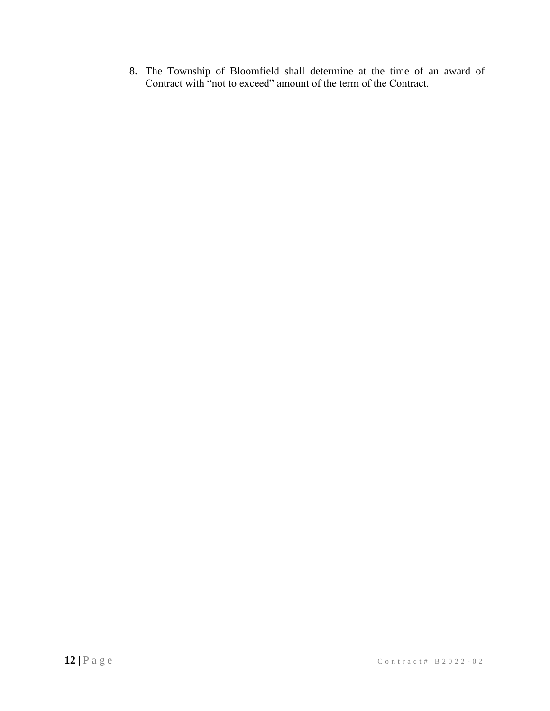8. The Township of Bloomfield shall determine at the time of an award of Contract with "not to exceed" amount of the term of the Contract.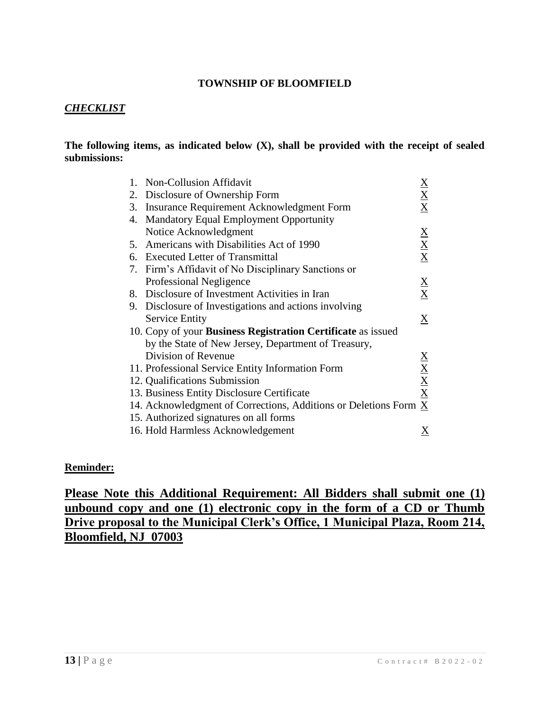# *CHECKLIST*

#### **The following items, as indicated below (X), shall be provided with the receipt of sealed submissions:**

| 1. | <b>Non-Collusion Affidavit</b>                                      | $\underline{\mathbf{X}}$                                   |
|----|---------------------------------------------------------------------|------------------------------------------------------------|
| 2. | Disclosure of Ownership Form                                        | $\frac{\mathbf{X}}{\mathbf{X}}$                            |
| 3. | Insurance Requirement Acknowledgment Form                           |                                                            |
| 4. | <b>Mandatory Equal Employment Opportunity</b>                       |                                                            |
|    | Notice Acknowledgment                                               |                                                            |
|    | 5. Americans with Disabilities Act of 1990                          | $\frac{X}{X}$                                              |
|    | 6. Executed Letter of Transmittal                                   |                                                            |
|    | 7. Firm's Affidavit of No Disciplinary Sanctions or                 |                                                            |
|    | Professional Negligence                                             |                                                            |
|    | 8. Disclosure of Investment Activities in Iran                      | $\frac{\mathbf{X}}{\mathbf{X}}$                            |
|    | 9. Disclosure of Investigations and actions involving               |                                                            |
|    | <b>Service Entity</b>                                               | $\underline{X}$                                            |
|    | 10. Copy of your <b>Business Registration Certificate</b> as issued |                                                            |
|    | by the State of New Jersey, Department of Treasury,                 |                                                            |
|    | Division of Revenue                                                 |                                                            |
|    | 11. Professional Service Entity Information Form                    | $\frac{\text{X}}{\text{X}}$<br>$\frac{\text{X}}{\text{X}}$ |
|    | 12. Qualifications Submission                                       |                                                            |
|    | 13. Business Entity Disclosure Certificate                          |                                                            |
|    | 14. Acknowledgment of Corrections, Additions or Deletions Form X    |                                                            |
|    | 15. Authorized signatures on all forms                              |                                                            |
|    | 16. Hold Harmless Acknowledgement                                   | Χ                                                          |

#### **Reminder:**

**Please Note this Additional Requirement: All Bidders shall submit one (1) unbound copy and one (1) electronic copy in the form of a CD or Thumb Drive proposal to the Municipal Clerk's Office, 1 Municipal Plaza, Room 214, Bloomfield, NJ 07003**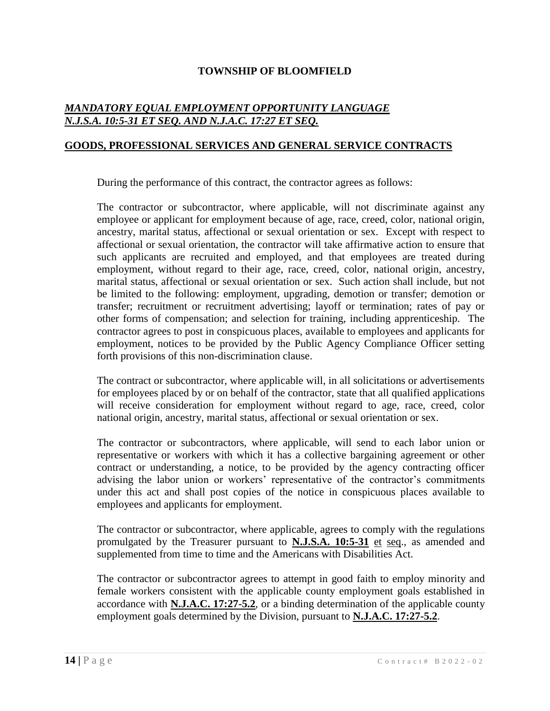# *MANDATORY EQUAL EMPLOYMENT OPPORTUNITY LANGUAGE N.J.S.A. 10:5-31 ET SEQ. AND N.J.A.C. 17:27 ET SEQ.*

#### **GOODS, PROFESSIONAL SERVICES AND GENERAL SERVICE CONTRACTS**

During the performance of this contract, the contractor agrees as follows:

The contractor or subcontractor, where applicable, will not discriminate against any employee or applicant for employment because of age, race, creed, color, national origin, ancestry, marital status, affectional or sexual orientation or sex. Except with respect to affectional or sexual orientation, the contractor will take affirmative action to ensure that such applicants are recruited and employed, and that employees are treated during employment, without regard to their age, race, creed, color, national origin, ancestry, marital status, affectional or sexual orientation or sex. Such action shall include, but not be limited to the following: employment, upgrading, demotion or transfer; demotion or transfer; recruitment or recruitment advertising; layoff or termination; rates of pay or other forms of compensation; and selection for training, including apprenticeship. The contractor agrees to post in conspicuous places, available to employees and applicants for employment, notices to be provided by the Public Agency Compliance Officer setting forth provisions of this non-discrimination clause.

The contract or subcontractor, where applicable will, in all solicitations or advertisements for employees placed by or on behalf of the contractor, state that all qualified applications will receive consideration for employment without regard to age, race, creed, color national origin, ancestry, marital status, affectional or sexual orientation or sex.

The contractor or subcontractors, where applicable, will send to each labor union or representative or workers with which it has a collective bargaining agreement or other contract or understanding, a notice, to be provided by the agency contracting officer advising the labor union or workers' representative of the contractor's commitments under this act and shall post copies of the notice in conspicuous places available to employees and applicants for employment.

The contractor or subcontractor, where applicable, agrees to comply with the regulations promulgated by the Treasurer pursuant to **N.J.S.A. 10:5-31** et seq., as amended and supplemented from time to time and the Americans with Disabilities Act.

The contractor or subcontractor agrees to attempt in good faith to employ minority and female workers consistent with the applicable county employment goals established in accordance with **N.J.A.C. 17:27-5.2**, or a binding determination of the applicable county employment goals determined by the Division, pursuant to **N.J.A.C. 17:27-5.2**.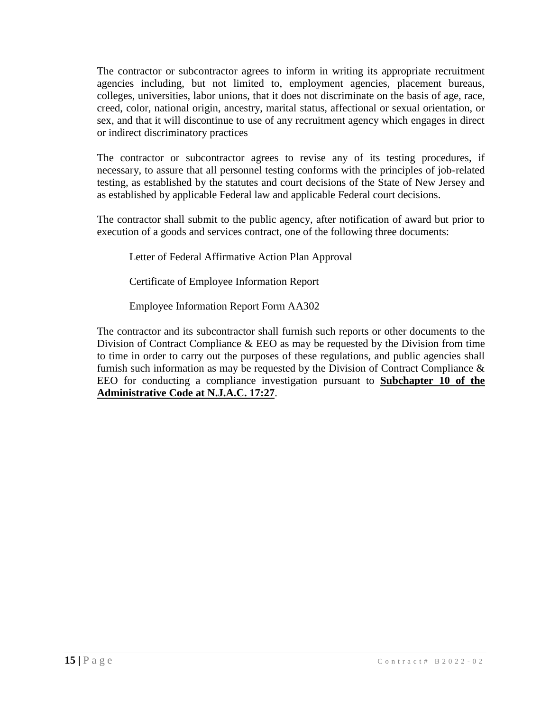The contractor or subcontractor agrees to inform in writing its appropriate recruitment agencies including, but not limited to, employment agencies, placement bureaus, colleges, universities, labor unions, that it does not discriminate on the basis of age, race, creed, color, national origin, ancestry, marital status, affectional or sexual orientation, or sex, and that it will discontinue to use of any recruitment agency which engages in direct or indirect discriminatory practices

The contractor or subcontractor agrees to revise any of its testing procedures, if necessary, to assure that all personnel testing conforms with the principles of job-related testing, as established by the statutes and court decisions of the State of New Jersey and as established by applicable Federal law and applicable Federal court decisions.

The contractor shall submit to the public agency, after notification of award but prior to execution of a goods and services contract, one of the following three documents:

Letter of Federal Affirmative Action Plan Approval

Certificate of Employee Information Report

Employee Information Report Form AA302

The contractor and its subcontractor shall furnish such reports or other documents to the Division of Contract Compliance & EEO as may be requested by the Division from time to time in order to carry out the purposes of these regulations, and public agencies shall furnish such information as may be requested by the Division of Contract Compliance & EEO for conducting a compliance investigation pursuant to **Subchapter 10 of the Administrative Code at N.J.A.C. 17:27**.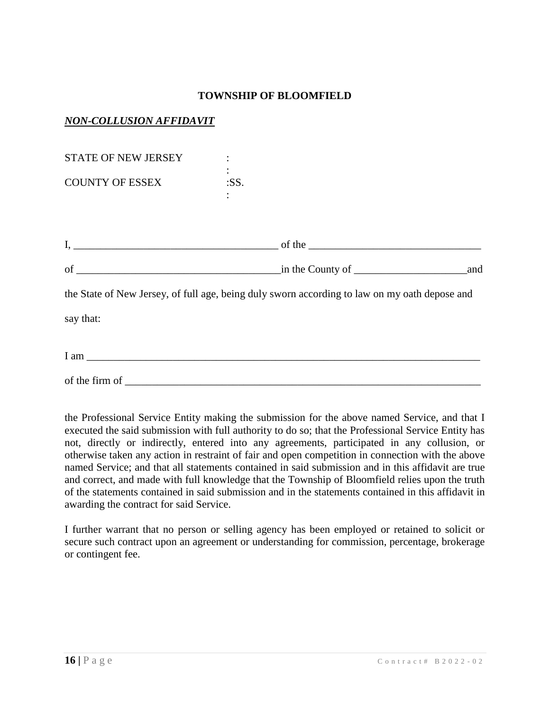# *NON-COLLUSION AFFIDAVIT*

| <b>STATE OF NEW JERSEY</b>      |                                                                                               |     |
|---------------------------------|-----------------------------------------------------------------------------------------------|-----|
| <b>COUNTY OF ESSEX</b>          | :SS.                                                                                          |     |
|                                 |                                                                                               |     |
|                                 |                                                                                               |     |
|                                 | $\frac{1}{2}$ in the County of $\frac{1}{2}$                                                  | and |
|                                 | the State of New Jersey, of full age, being duly sworn according to law on my oath depose and |     |
| say that:                       |                                                                                               |     |
| $I$ am $\overline{\phantom{a}}$ |                                                                                               |     |

the Professional Service Entity making the submission for the above named Service, and that I executed the said submission with full authority to do so; that the Professional Service Entity has not, directly or indirectly, entered into any agreements, participated in any collusion, or otherwise taken any action in restraint of fair and open competition in connection with the above named Service; and that all statements contained in said submission and in this affidavit are true and correct, and made with full knowledge that the Township of Bloomfield relies upon the truth of the statements contained in said submission and in the statements contained in this affidavit in awarding the contract for said Service.

of the firm of \_\_\_\_\_\_\_\_\_\_\_\_\_\_\_\_\_\_\_\_\_\_\_\_\_\_\_\_\_\_\_\_\_\_\_\_\_\_\_\_\_\_\_\_\_\_\_\_\_\_\_\_\_\_\_\_\_\_\_\_\_\_\_\_\_\_

I further warrant that no person or selling agency has been employed or retained to solicit or secure such contract upon an agreement or understanding for commission, percentage, brokerage or contingent fee.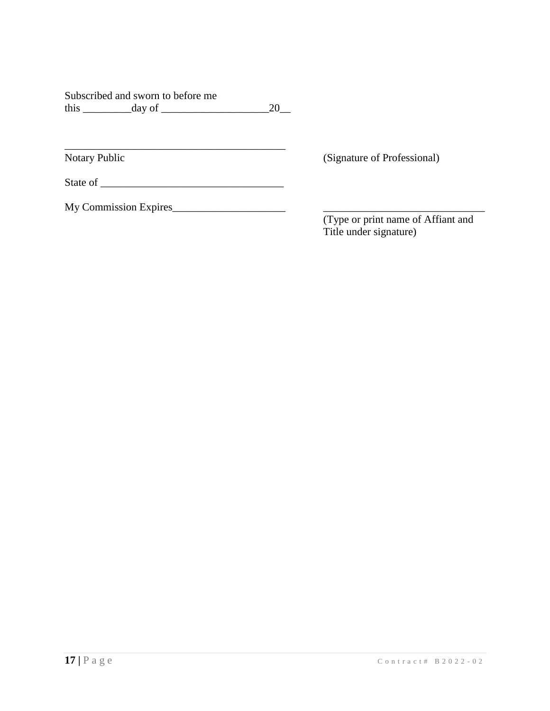|      | Subscribed and sworn to before me |    |
|------|-----------------------------------|----|
| this | day of                            | 20 |

Notary Public (Signature of Professional)

State of \_\_\_\_\_\_\_\_\_\_\_\_\_\_\_\_\_\_\_\_\_\_\_\_\_\_\_\_\_\_\_\_\_\_

\_\_\_\_\_\_\_\_\_\_\_\_\_\_\_\_\_\_\_\_\_\_\_\_\_\_\_\_\_\_\_\_\_\_\_\_\_\_\_\_\_

My Commission Expires\_\_\_\_\_\_\_\_\_\_\_\_\_\_\_\_\_\_\_\_\_ \_\_\_\_\_\_\_\_\_\_\_\_\_\_\_\_\_\_\_\_\_\_\_\_\_\_\_\_\_\_

(Type or print name of Affiant and Title under signature)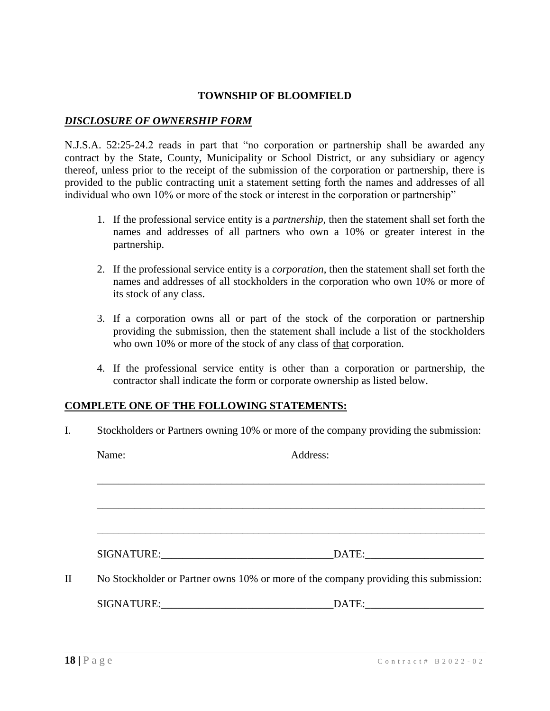## *DISCLOSURE OF OWNERSHIP FORM*

N.J.S.A. 52:25-24.2 reads in part that "no corporation or partnership shall be awarded any contract by the State, County, Municipality or School District, or any subsidiary or agency thereof, unless prior to the receipt of the submission of the corporation or partnership, there is provided to the public contracting unit a statement setting forth the names and addresses of all individual who own 10% or more of the stock or interest in the corporation or partnership"

- 1. If the professional service entity is a *partnership*, then the statement shall set forth the names and addresses of all partners who own a 10% or greater interest in the partnership.
- 2. If the professional service entity is a *corporation*, then the statement shall set forth the names and addresses of all stockholders in the corporation who own 10% or more of its stock of any class.
- 3. If a corporation owns all or part of the stock of the corporation or partnership providing the submission, then the statement shall include a list of the stockholders who own 10% or more of the stock of any class of that corporation.
- 4. If the professional service entity is other than a corporation or partnership, the contractor shall indicate the form or corporate ownership as listed below.

#### **COMPLETE ONE OF THE FOLLOWING STATEMENTS:**

I. Stockholders or Partners owning 10% or more of the company providing the submission:

|     | Name: | Address:                                                                             |
|-----|-------|--------------------------------------------------------------------------------------|
|     |       |                                                                                      |
|     |       |                                                                                      |
|     |       |                                                                                      |
|     |       |                                                                                      |
| II. |       | No Stockholder or Partner owns 10% or more of the company providing this submission: |
|     |       |                                                                                      |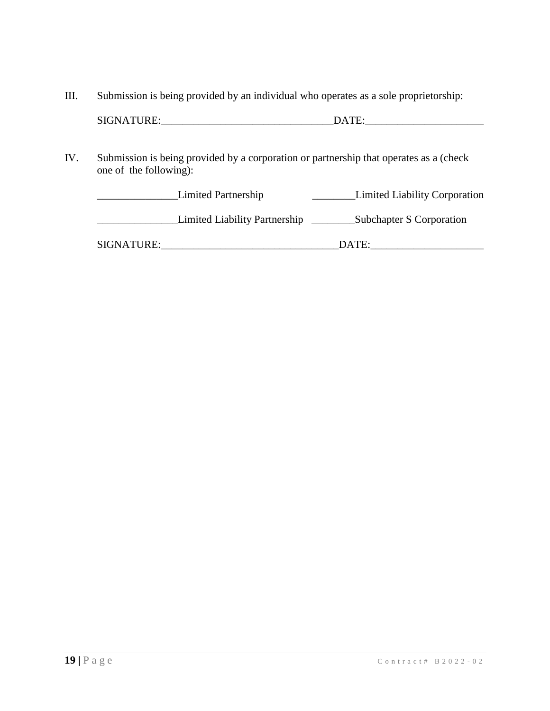III. Submission is being provided by an individual who operates as a sole proprietorship:

IV. Submission is being provided by a corporation or partnership that operates as a (check one of the following):

|             | Limited Partnership           | <b>Limited Liability Corporation</b> |
|-------------|-------------------------------|--------------------------------------|
|             | Limited Liability Partnership | Subchapter S Corporation             |
| SIGNATURE:_ |                               | DATE:                                |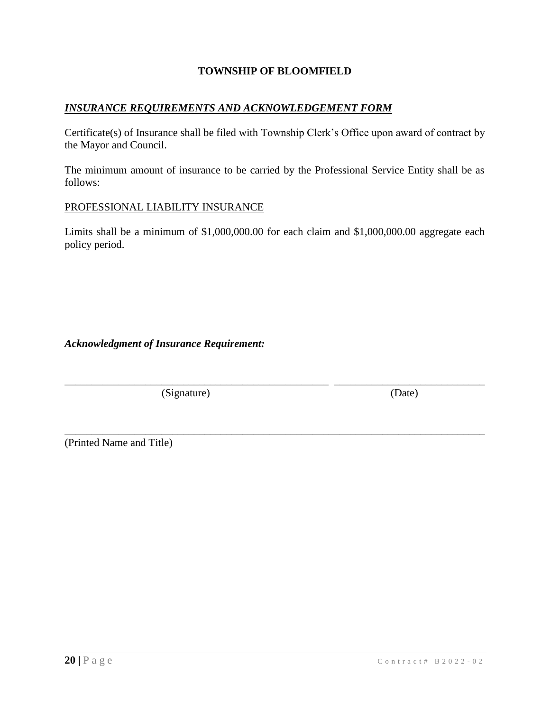## *INSURANCE REQUIREMENTS AND ACKNOWLEDGEMENT FORM*

Certificate(s) of Insurance shall be filed with Township Clerk's Office upon award of contract by the Mayor and Council.

The minimum amount of insurance to be carried by the Professional Service Entity shall be as follows:

#### PROFESSIONAL LIABILITY INSURANCE

Limits shall be a minimum of \$1,000,000.00 for each claim and \$1,000,000.00 aggregate each policy period.

\_\_\_\_\_\_\_\_\_\_\_\_\_\_\_\_\_\_\_\_\_\_\_\_\_\_\_\_\_\_\_\_\_\_\_\_\_\_\_\_\_\_\_\_\_\_\_\_\_ \_\_\_\_\_\_\_\_\_\_\_\_\_\_\_\_\_\_\_\_\_\_\_\_\_\_\_\_

\_\_\_\_\_\_\_\_\_\_\_\_\_\_\_\_\_\_\_\_\_\_\_\_\_\_\_\_\_\_\_\_\_\_\_\_\_\_\_\_\_\_\_\_\_\_\_\_\_\_\_\_\_\_\_\_\_\_\_\_\_\_\_\_\_\_\_\_\_\_\_\_\_\_\_\_\_\_

*Acknowledgment of Insurance Requirement:*

(Signature) (Date)

(Printed Name and Title)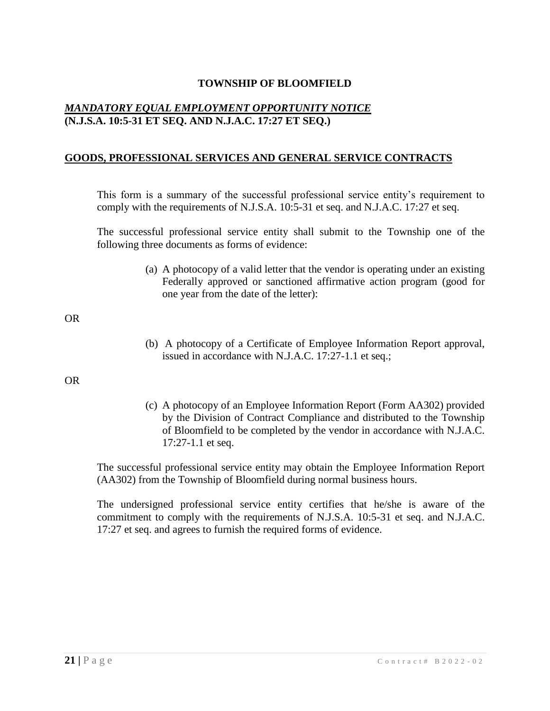# *MANDATORY EQUAL EMPLOYMENT OPPORTUNITY NOTICE* **(N.J.S.A. 10:5-31 ET SEQ. AND N.J.A.C. 17:27 ET SEQ.)**

## **GOODS, PROFESSIONAL SERVICES AND GENERAL SERVICE CONTRACTS**

This form is a summary of the successful professional service entity's requirement to comply with the requirements of N.J.S.A. 10:5-31 et seq. and N.J.A.C. 17:27 et seq.

The successful professional service entity shall submit to the Township one of the following three documents as forms of evidence:

> (a) A photocopy of a valid letter that the vendor is operating under an existing Federally approved or sanctioned affirmative action program (good for one year from the date of the letter):

OR

(b) A photocopy of a Certificate of Employee Information Report approval, issued in accordance with N.J.A.C. 17:27-1.1 et seq.;

OR

(c) A photocopy of an Employee Information Report (Form AA302) provided by the Division of Contract Compliance and distributed to the Township of Bloomfield to be completed by the vendor in accordance with N.J.A.C. 17:27-1.1 et seq.

The successful professional service entity may obtain the Employee Information Report (AA302) from the Township of Bloomfield during normal business hours.

The undersigned professional service entity certifies that he/she is aware of the commitment to comply with the requirements of N.J.S.A. 10:5-31 et seq. and N.J.A.C. 17:27 et seq. and agrees to furnish the required forms of evidence.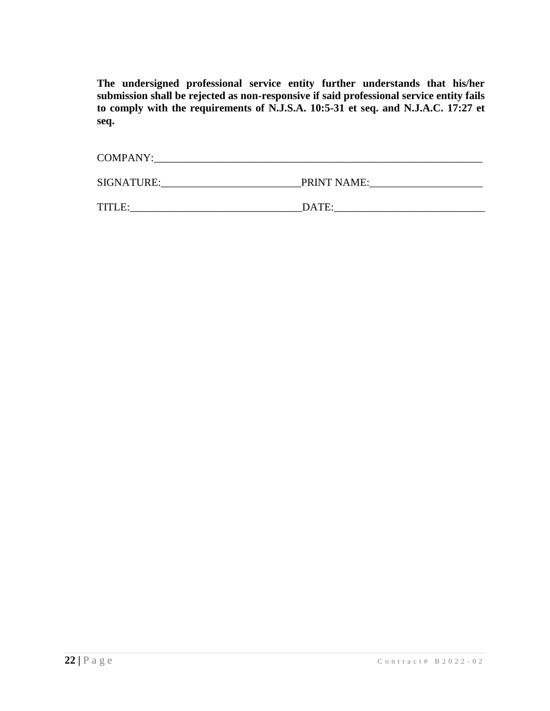**The undersigned professional service entity further understands that his/her submission shall be rejected as non-responsive if said professional service entity fails to comply with the requirements of N.J.S.A. 10:5-31 et seq. and N.J.A.C. 17:27 et seq.**

| <b>COMPANY:</b> |             |
|-----------------|-------------|
| SIGNATURE:      | PRINT NAME: |
| TITLE:          | DATE:       |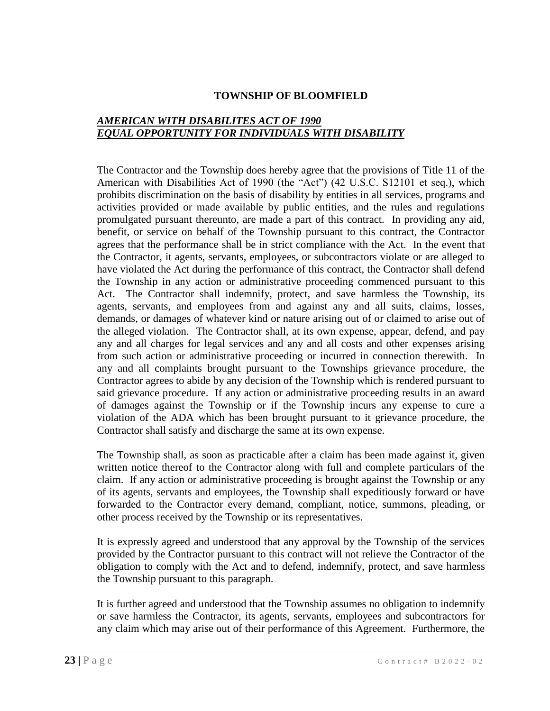## *AMERICAN WITH DISABILITES ACT OF 1990 EQUAL OPPORTUNITY FOR INDIVIDUALS WITH DISABILITY*

The Contractor and the Township does hereby agree that the provisions of Title 11 of the American with Disabilities Act of 1990 (the "Act") (42 U.S.C. S12101 et seq.), which prohibits discrimination on the basis of disability by entities in all services, programs and activities provided or made available by public entities, and the rules and regulations promulgated pursuant thereunto, are made a part of this contract. In providing any aid, benefit, or service on behalf of the Township pursuant to this contract, the Contractor agrees that the performance shall be in strict compliance with the Act. In the event that the Contractor, it agents, servants, employees, or subcontractors violate or are alleged to have violated the Act during the performance of this contract, the Contractor shall defend the Township in any action or administrative proceeding commenced pursuant to this Act. The Contractor shall indemnify, protect, and save harmless the Township, its agents, servants, and employees from and against any and all suits, claims, losses, demands, or damages of whatever kind or nature arising out of or claimed to arise out of the alleged violation. The Contractor shall, at its own expense, appear, defend, and pay any and all charges for legal services and any and all costs and other expenses arising from such action or administrative proceeding or incurred in connection therewith. In any and all complaints brought pursuant to the Townships grievance procedure, the Contractor agrees to abide by any decision of the Township which is rendered pursuant to said grievance procedure. If any action or administrative proceeding results in an award of damages against the Township or if the Township incurs any expense to cure a violation of the ADA which has been brought pursuant to it grievance procedure, the Contractor shall satisfy and discharge the same at its own expense.

The Township shall, as soon as practicable after a claim has been made against it, given written notice thereof to the Contractor along with full and complete particulars of the claim. If any action or administrative proceeding is brought against the Township or any of its agents, servants and employees, the Township shall expeditiously forward or have forwarded to the Contractor every demand, compliant, notice, summons, pleading, or other process received by the Township or its representatives.

It is expressly agreed and understood that any approval by the Township of the services provided by the Contractor pursuant to this contract will not relieve the Contractor of the obligation to comply with the Act and to defend, indemnify, protect, and save harmless the Township pursuant to this paragraph.

It is further agreed and understood that the Township assumes no obligation to indemnify or save harmless the Contractor, its agents, servants, employees and subcontractors for any claim which may arise out of their performance of this Agreement. Furthermore, the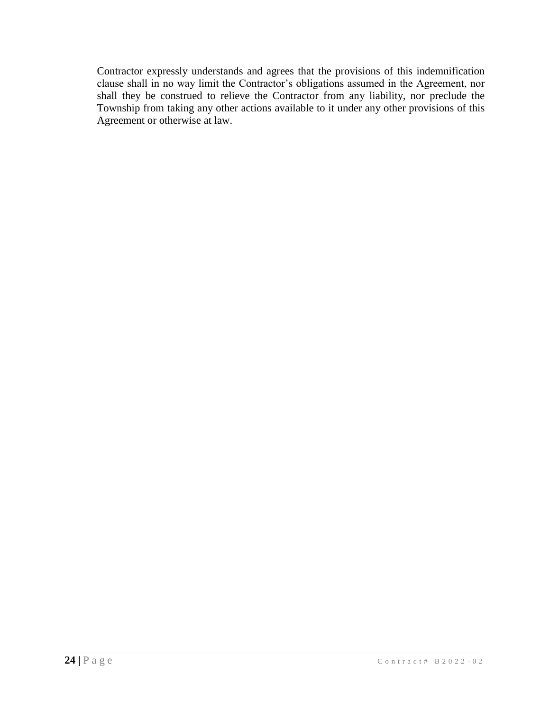Contractor expressly understands and agrees that the provisions of this indemnification clause shall in no way limit the Contractor's obligations assumed in the Agreement, nor shall they be construed to relieve the Contractor from any liability, nor preclude the Township from taking any other actions available to it under any other provisions of this Agreement or otherwise at law.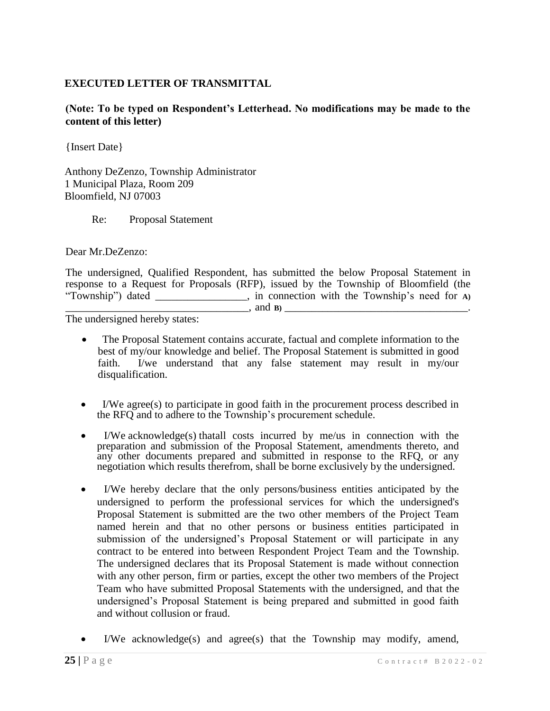## **EXECUTED LETTER OF TRANSMITTAL**

**(Note: To be typed on Respondent's Letterhead. No modifications may be made to the content of this letter)**

{Insert Date}

Anthony DeZenzo, Township Administrator 1 Municipal Plaza, Room 209 Bloomfield, NJ 07003

Re: Proposal Statement

Dear Mr.DeZenzo:

The undersigned, Qualified Respondent, has submitted the below Proposal Statement in response to a Request for Proposals (RFP), issued by the Township of Bloomfield (the "Township") dated \_\_\_\_\_\_\_\_\_\_\_\_\_\_\_\_\_, in connection with the Township's need for **A)**  \_\_\_\_\_\_\_\_\_\_\_\_\_\_\_\_\_\_\_\_\_\_\_\_\_\_\_\_\_\_\_\_\_\_, and **B)** \_\_\_\_\_\_\_\_\_\_\_\_\_\_\_\_\_\_\_\_\_\_\_\_\_\_\_\_\_\_\_\_\_\_.

The undersigned hereby states:

- The Proposal Statement contains accurate, factual and complete information to the best of my/our knowledge and belief. The Proposal Statement is submitted in good faith. I/we understand that any false statement may result in my/our disqualification.
- I/We agree(s) to participate in good faith in the procurement process described in the RFQ and to adhere to the Township's procurement schedule.
- I/We acknowledge(s) thatall costs incurred by me/us in connection with the preparation and submission of the Proposal Statement, amendments thereto, and any other documents prepared and submitted in response to the RFQ, or any negotiation which results therefrom, shall be borne exclusively by the undersigned.
- I/We hereby declare that the only persons/business entities anticipated by the undersigned to perform the professional services for which the undersigned's Proposal Statement is submitted are the two other members of the Project Team named herein and that no other persons or business entities participated in submission of the undersigned's Proposal Statement or will participate in any contract to be entered into between Respondent Project Team and the Township. The undersigned declares that its Proposal Statement is made without connection with any other person, firm or parties, except the other two members of the Project Team who have submitted Proposal Statements with the undersigned, and that the undersigned's Proposal Statement is being prepared and submitted in good faith and without collusion or fraud.
- I/We acknowledge(s) and agree(s) that the Township may modify, amend,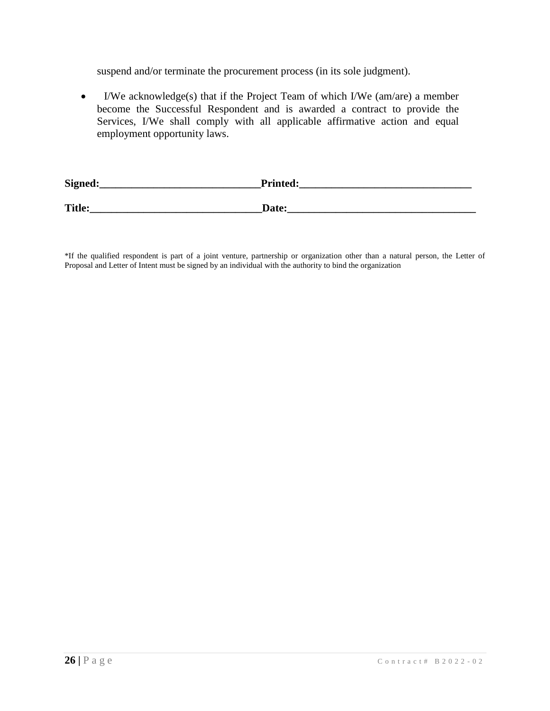suspend and/or terminate the procurement process (in its sole judgment).

 I/We acknowledge(s) that if the Project Team of which I/We (am/are) a member become the Successful Respondent and is awarded a contract to provide the Services, I/We shall comply with all applicable affirmative action and equal employment opportunity laws.

| Signed:       | <b>Printed:</b> |
|---------------|-----------------|
| <b>Title:</b> | Date:           |

\*If the qualified respondent is part of a joint venture, partnership or organization other than a natural person, the Letter of Proposal and Letter of Intent must be signed by an individual with the authority to bind the organization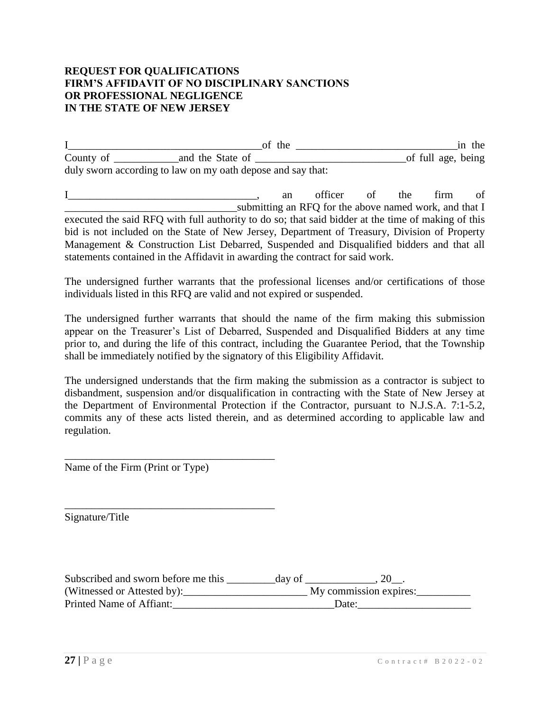#### **REQUEST FOR QUALIFICATIONS FIRM'S AFFIDAVIT OF NO DISCIPLINARY SANCTIONS OR PROFESSIONAL NEGLIGENCE IN THE STATE OF NEW JERSEY**

I\_\_\_\_\_\_\_\_\_\_\_\_\_\_\_\_\_\_\_\_\_\_\_\_\_\_\_\_\_\_\_\_\_\_\_\_of the \_\_\_\_\_\_\_\_\_\_\_\_\_\_\_\_\_\_\_\_\_\_\_\_\_\_\_\_\_\_in the County of \_\_\_\_\_\_\_\_\_\_\_\_and the State of \_\_\_\_\_\_\_\_\_\_\_\_\_\_\_\_\_\_\_\_\_\_\_\_\_\_\_\_of full age, being duly sworn according to law on my oath depose and say that:

I\_\_\_\_\_\_\_\_\_\_\_\_\_\_\_\_\_\_\_\_\_\_\_\_\_\_\_\_\_\_\_\_\_\_\_, an officer of the firm of **Example 1.1** Submitting an RFQ for the above named work, and that I executed the said RFQ with full authority to do so; that said bidder at the time of making of this bid is not included on the State of New Jersey, Department of Treasury, Division of Property Management & Construction List Debarred, Suspended and Disqualified bidders and that all statements contained in the Affidavit in awarding the contract for said work.

The undersigned further warrants that the professional licenses and/or certifications of those individuals listed in this RFQ are valid and not expired or suspended.

The undersigned further warrants that should the name of the firm making this submission appear on the Treasurer's List of Debarred, Suspended and Disqualified Bidders at any time prior to, and during the life of this contract, including the Guarantee Period, that the Township shall be immediately notified by the signatory of this Eligibility Affidavit.

The undersigned understands that the firm making the submission as a contractor is subject to disbandment, suspension and/or disqualification in contracting with the State of New Jersey at the Department of Environmental Protection if the Contractor, pursuant to N.J.S.A. 7:1-5.2, commits any of these acts listed therein, and as determined according to applicable law and regulation.

Name of the Firm (Print or Type)

\_\_\_\_\_\_\_\_\_\_\_\_\_\_\_\_\_\_\_\_\_\_\_\_\_\_\_\_\_\_\_\_\_\_\_\_\_\_\_

\_\_\_\_\_\_\_\_\_\_\_\_\_\_\_\_\_\_\_\_\_\_\_\_\_\_\_\_\_\_\_\_\_\_\_\_\_\_\_

Signature/Title

| Subscribed and sworn before me this | day of |                        |  |
|-------------------------------------|--------|------------------------|--|
| (Witnessed or Attested by):         |        | My commission expires: |  |
| Printed Name of Affiant:            |        | Date:                  |  |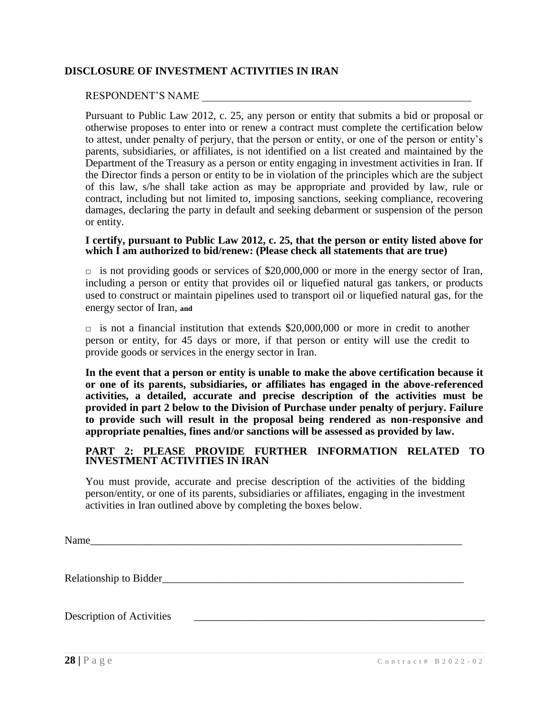## **DISCLOSURE OF INVESTMENT ACTIVITIES IN IRAN**

#### RESPONDENT'S NAME

Pursuant to Public Law 2012, c. 25, any person or entity that submits a bid or proposal or otherwise proposes to enter into or renew a contract must complete the certification below to attest, under penalty of perjury, that the person or entity, or one of the person or entity's parents, subsidiaries, or affiliates, is not identified on a list created and maintained by the Department of the Treasury as a person or entity engaging in investment activities in Iran. If the Director finds a person or entity to be in violation of the principles which are the subject of this law, s/he shall take action as may be appropriate and provided by law, rule or contract, including but not limited to, imposing sanctions, seeking compliance, recovering damages, declaring the party in default and seeking debarment or suspension of the person or entity.

#### **I certify, pursuant to Public Law 2012, c. 25, that the person or entity listed above for which I am authorized to bid/renew: (Please check all statements that are true)**

 $\Box$  is not providing goods or services of \$20,000,000 or more in the energy sector of Iran, including a person or entity that provides oil or liquefied natural gas tankers, or products used to construct or maintain pipelines used to transport oil or liquefied natural gas, for the energy sector of Iran, **and**

 $\Box$  is not a financial institution that extends \$20,000,000 or more in credit to another person or entity, for 45 days or more, if that person or entity will use the credit to provide goods or services in the energy sector in Iran.

**In the event that a person or entity is unable to make the above certification because it or one of its parents, subsidiaries, or affiliates has engaged in the above-referenced activities, a detailed, accurate and precise description of the activities must be provided in part 2 below to the Division of Purchase under penalty of perjury. Failure to provide such will result in the proposal being rendered as non-responsive and appropriate penalties, fines and/or sanctions will be assessed as provided by law.**

#### **PART 2: PLEASE PROVIDE FURTHER INFORMATION RELATED TO INVESTMENT ACTIVITIES IN IRAN**

You must provide, accurate and precise description of the activities of the bidding person/entity, or one of its parents, subsidiaries or affiliates, engaging in the investment activities in Iran outlined above by completing the boxes below.

Name

Relationship to Bidder

Description of Activities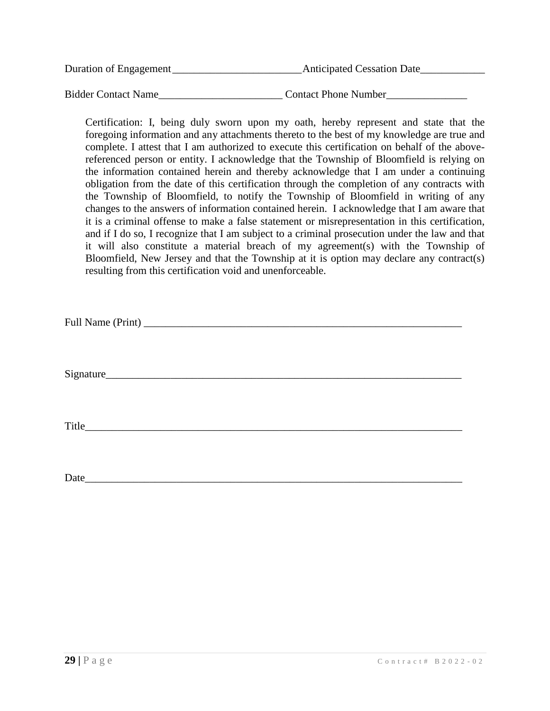| Duration of Engagement     | <b>Anticipated Cessation Date</b> |
|----------------------------|-----------------------------------|
|                            |                                   |
| <b>Bidder Contact Name</b> | <b>Contact Phone Number</b>       |

Certification: I, being duly sworn upon my oath, hereby represent and state that the foregoing information and any attachments thereto to the best of my knowledge are true and complete. I attest that I am authorized to execute this certification on behalf of the abovereferenced person or entity. I acknowledge that the Township of Bloomfield is relying on the information contained herein and thereby acknowledge that I am under a continuing obligation from the date of this certification through the completion of any contracts with the Township of Bloomfield, to notify the Township of Bloomfield in writing of any changes to the answers of information contained herein. I acknowledge that I am aware that it is a criminal offense to make a false statement or misrepresentation in this certification, and if I do so, I recognize that I am subject to a criminal prosecution under the law and that it will also constitute a material breach of my agreement(s) with the Township of Bloomfield, New Jersey and that the Township at it is option may declare any contract(s) resulting from this certification void and unenforceable.

| Full Name (Print) |  |
|-------------------|--|
|-------------------|--|

 $Signature$ 

Title

Date\_\_\_\_\_\_\_\_\_\_\_\_\_\_\_\_\_\_\_\_\_\_\_\_\_\_\_\_\_\_\_\_\_\_\_\_\_\_\_\_\_\_\_\_\_\_\_\_\_\_\_\_\_\_\_\_\_\_\_\_\_\_\_\_\_\_\_\_\_\_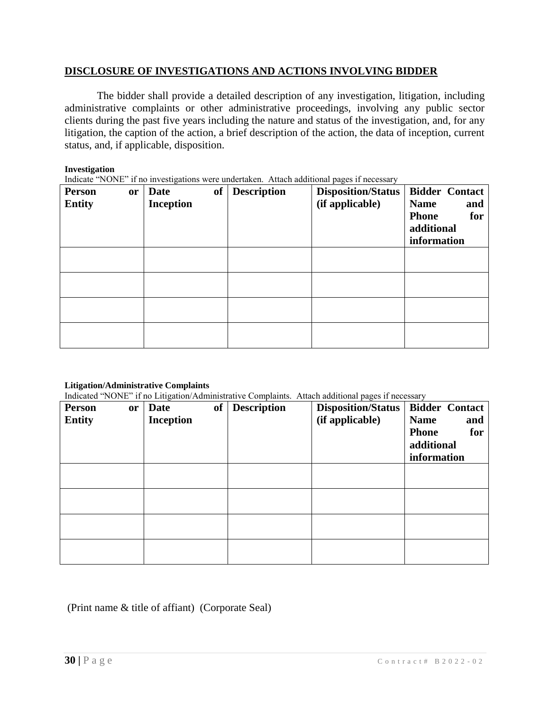#### **DISCLOSURE OF INVESTIGATIONS AND ACTIONS INVOLVING BIDDER**

The bidder shall provide a detailed description of any investigation, litigation, including administrative complaints or other administrative proceedings, involving any public sector clients during the past five years including the nature and status of the investigation, and, for any litigation, the caption of the action, a brief description of the action, the data of inception, current status, and, if applicable, disposition.

#### **Investigation**

Indicate "NONE" if no investigations were undertaken. Attach additional pages if necessary

| <b>Person</b><br><b>or</b><br><b>Entity</b> | of<br><b>Date</b><br><b>Inception</b> | <b>Description</b> | <b>Disposition/Status</b><br>(if applicable) | <b>Bidder Contact</b><br><b>Name</b><br>and<br><b>Phone</b><br>for<br>additional<br>information |
|---------------------------------------------|---------------------------------------|--------------------|----------------------------------------------|-------------------------------------------------------------------------------------------------|
|                                             |                                       |                    |                                              |                                                                                                 |
|                                             |                                       |                    |                                              |                                                                                                 |
|                                             |                                       |                    |                                              |                                                                                                 |
|                                             |                                       |                    |                                              |                                                                                                 |

#### **Litigation/Administrative Complaints**

Indicated "NONE" if no Litigation/Administrative Complaints. Attach additional pages if necessary

| <b>Person</b> | <b>or</b> | Date             | of Description | marcured Torth in the England Prominibility of Companies. Thursdriven a pages in hecessary<br><b>Disposition/Status</b> | <b>Bidder Contact</b> |
|---------------|-----------|------------------|----------------|-------------------------------------------------------------------------------------------------------------------------|-----------------------|
| <b>Entity</b> |           | <b>Inception</b> |                | (if applicable)                                                                                                         | <b>Name</b><br>and    |
|               |           |                  |                |                                                                                                                         | <b>Phone</b><br>for   |
|               |           |                  |                |                                                                                                                         | additional            |
|               |           |                  |                |                                                                                                                         | information           |
|               |           |                  |                |                                                                                                                         |                       |
|               |           |                  |                |                                                                                                                         |                       |
|               |           |                  |                |                                                                                                                         |                       |
|               |           |                  |                |                                                                                                                         |                       |
|               |           |                  |                |                                                                                                                         |                       |
|               |           |                  |                |                                                                                                                         |                       |
|               |           |                  |                |                                                                                                                         |                       |
|               |           |                  |                |                                                                                                                         |                       |

## (Print name & title of affiant) (Corporate Seal)